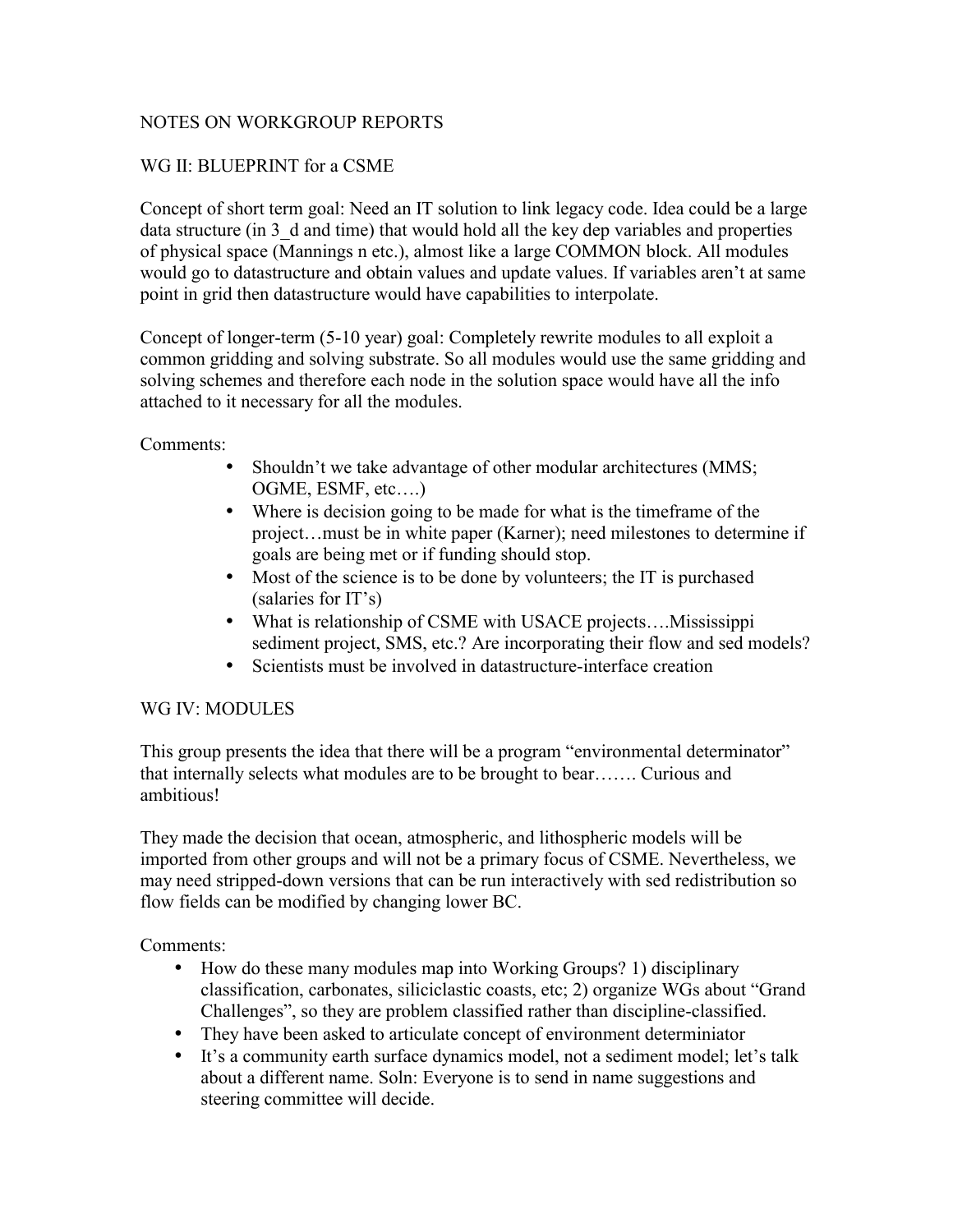## NOTES ON WORKGROUP REPORTS

# WG II: BLUEPRINT for a CSME

Concept of short term goal: Need an IT solution to link legacy code. Idea could be a large data structure (in 3 d and time) that would hold all the key dep variables and properties of physical space (Mannings n etc.), almost like a large COMMON block. All modules would go to datastructure and obtain values and update values. If variables aren't at same point in grid then datastructure would have capabilities to interpolate.

Concept of longer-term (5-10 year) goal: Completely rewrite modules to all exploit a common gridding and solving substrate. So all modules would use the same gridding and solving schemes and therefore each node in the solution space would have all the info attached to it necessary for all the modules.

Comments:

- Shouldn't we take advantage of other modular architectures (MMS; OGME, ESMF, etc….)
- Where is decision going to be made for what is the timeframe of the project…must be in white paper (Karner); need milestones to determine if goals are being met or if funding should stop.
- Most of the science is to be done by volunteers; the IT is purchased (salaries for IT's)
- What is relationship of CSME with USACE projects....Mississippi sediment project, SMS, etc.? Are incorporating their flow and sed models?
- Scientists must be involved in datastructure-interface creation

## WG IV: MODULES

This group presents the idea that there will be a program "environmental determinator" that internally selects what modules are to be brought to bear……. Curious and ambitious!

They made the decision that ocean, atmospheric, and lithospheric models will be imported from other groups and will not be a primary focus of CSME. Nevertheless, we may need stripped-down versions that can be run interactively with sed redistribution so flow fields can be modified by changing lower BC.

Comments:

- How do these many modules map into Working Groups? 1) disciplinary classification, carbonates, siliciclastic coasts, etc; 2) organize WGs about "Grand Challenges", so they are problem classified rather than discipline-classified.
- They have been asked to articulate concept of environment determiniator
- It's a community earth surface dynamics model, not a sediment model; let's talk about a different name. Soln: Everyone is to send in name suggestions and steering committee will decide.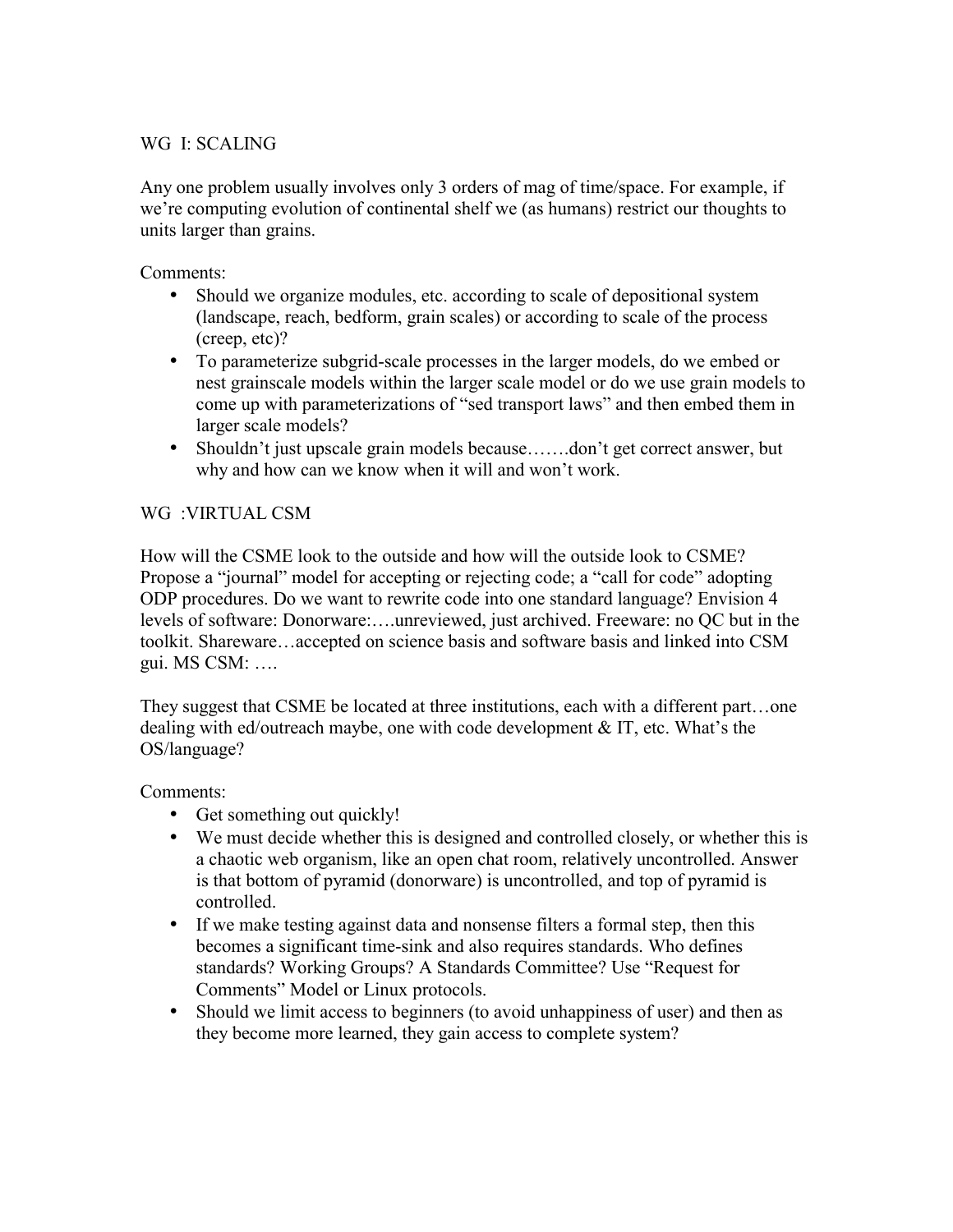# WG I: SCALING

Any one problem usually involves only 3 orders of mag of time/space. For example, if we're computing evolution of continental shelf we (as humans) restrict our thoughts to units larger than grains.

Comments:

- Should we organize modules, etc. according to scale of depositional system (landscape, reach, bedform, grain scales) or according to scale of the process (creep, etc)?
- To parameterize subgrid-scale processes in the larger models, do we embed or nest grainscale models within the larger scale model or do we use grain models to come up with parameterizations of "sed transport laws" and then embed them in larger scale models?
- Shouldn't just upscale grain models because.......don't get correct answer, but why and how can we know when it will and won't work.

# WG :VIRTUAL CSM

How will the CSME look to the outside and how will the outside look to CSME? Propose a "journal" model for accepting or rejecting code; a "call for code" adopting ODP procedures. Do we want to rewrite code into one standard language? Envision 4 levels of software: Donorware:….unreviewed, just archived. Freeware: no QC but in the toolkit. Shareware…accepted on science basis and software basis and linked into CSM gui. MS CSM: ….

They suggest that CSME be located at three institutions, each with a different part…one dealing with ed/outreach maybe, one with code development & IT, etc. What's the OS/language?

Comments:

- Get something out quickly!
- We must decide whether this is designed and controlled closely, or whether this is a chaotic web organism, like an open chat room, relatively uncontrolled. Answer is that bottom of pyramid (donorware) is uncontrolled, and top of pyramid is controlled.
- If we make testing against data and nonsense filters a formal step, then this becomes a significant time-sink and also requires standards. Who defines standards? Working Groups? A Standards Committee? Use "Request for Comments" Model or Linux protocols.
- Should we limit access to beginners (to avoid unhappiness of user) and then as they become more learned, they gain access to complete system?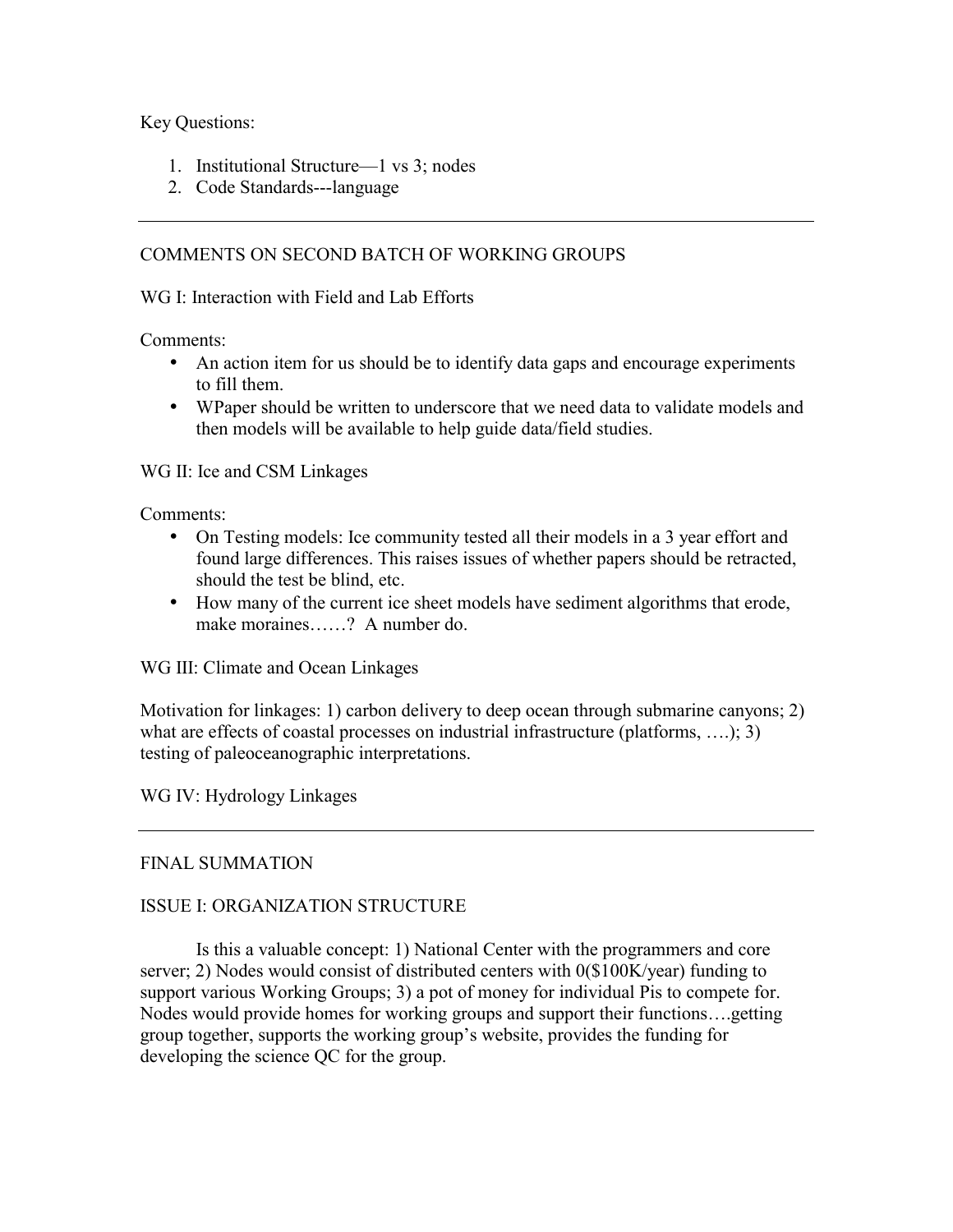Key Questions:

- 1. Institutional Structure—1 vs 3; nodes
- 2. Code Standards---language

### COMMENTS ON SECOND BATCH OF WORKING GROUPS

WG I: Interaction with Field and Lab Efforts

Comments:

- An action item for us should be to identify data gaps and encourage experiments to fill them.
- Where should be written to underscore that we need data to validate models and then models will be available to help guide data/field studies.

WG II: Ice and CSM Linkages

Comments:

- On Testing models: Ice community tested all their models in a 3 year effort and found large differences. This raises issues of whether papers should be retracted, should the test be blind, etc.
- How many of the current ice sheet models have sediment algorithms that erode, make moraines……? A number do.

WG III: Climate and Ocean Linkages

Motivation for linkages: 1) carbon delivery to deep ocean through submarine canyons; 2) what are effects of coastal processes on industrial infrastructure (platforms, ...); 3) testing of paleoceanographic interpretations.

WG IV: Hydrology Linkages

### FINAL SUMMATION

### ISSUE I: ORGANIZATION STRUCTURE

 Is this a valuable concept: 1) National Center with the programmers and core server; 2) Nodes would consist of distributed centers with 0(\$100K/year) funding to support various Working Groups; 3) a pot of money for individual Pis to compete for. Nodes would provide homes for working groups and support their functions….getting group together, supports the working group's website, provides the funding for developing the science QC for the group.